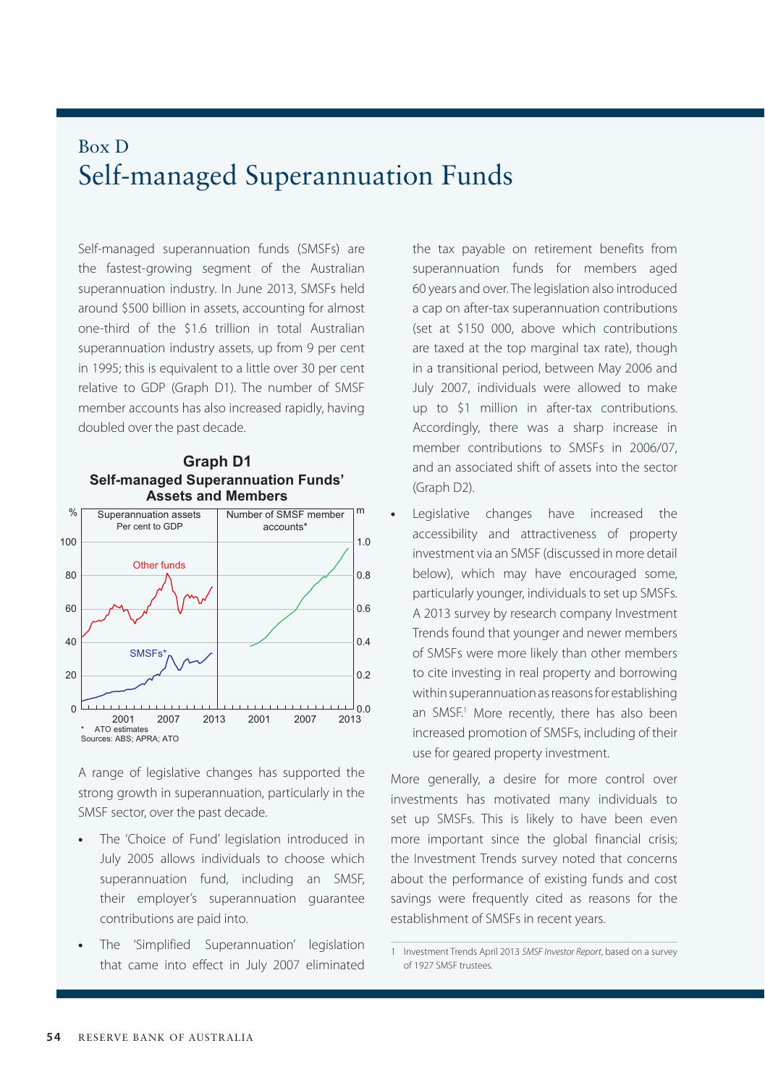## Box D Self-managed Superannuation Funds

Self-managed superannuation funds (SMSFs) are the fastest-growing segment of the Australian superannuation industry. In June 2013, SMSFs held around \$500 billion in assets, accounting for almost one-third of the \$1.6 trillion in total Australian superannuation industry assets, up from 9 per cent in 1995; this is equivalent to a little over 30 per cent relative to GDP (Graph D1). The number of SMSF member accounts has also increased rapidly, having doubled over the past decade.

**Graph D1**



A range of legislative changes has supported the strong growth in superannuation, particularly in the SMSF sector, over the past decade.

- **•** The 'Choice of Fund' legislation introduced in July 2005 allows individuals to choose which superannuation fund, including an SMSF, their employer's superannuation guarantee contributions are paid into.
- **•** The 'Simplified Superannuation' legislation that came into effect in July 2007 eliminated

the tax payable on retirement benefits from superannuation funds for members aged 60 years and over. The legislation also introduced a cap on after-tax superannuation contributions (set at \$150 000, above which contributions are taxed at the top marginal tax rate), though in a transitional period, between May 2006 and July 2007, individuals were allowed to make up to \$1 million in after-tax contributions. Accordingly, there was a sharp increase in member contributions to SMSFs in 2006/07, and an associated shift of assets into the sector (Graph D2).

**•** Legislative changes have increased the accessibility and attractiveness of property investment via an SMSF (discussed in more detail below), which may have encouraged some, particularly younger, individuals to set up SMSFs. A 2013 survey by research company Investment Trends found that younger and newer members of SMSFs were more likely than other members to cite investing in real property and borrowing within superannuation as reasons for establishing an SMSF.<sup>1</sup> More recently, there has also been increased promotion of SMSFs, including of their use for geared property investment.

More generally, a desire for more control over investments has motivated many individuals to set up SMSFs. This is likely to have been even more important since the global financial crisis; the Investment Trends survey noted that concerns about the performance of existing funds and cost savings were frequently cited as reasons for the establishment of SMSFs in recent years.

<sup>1</sup> Investment Trends April 2013 *SMSF Investor Report*, based on a survey of 1927 SMSF trustees.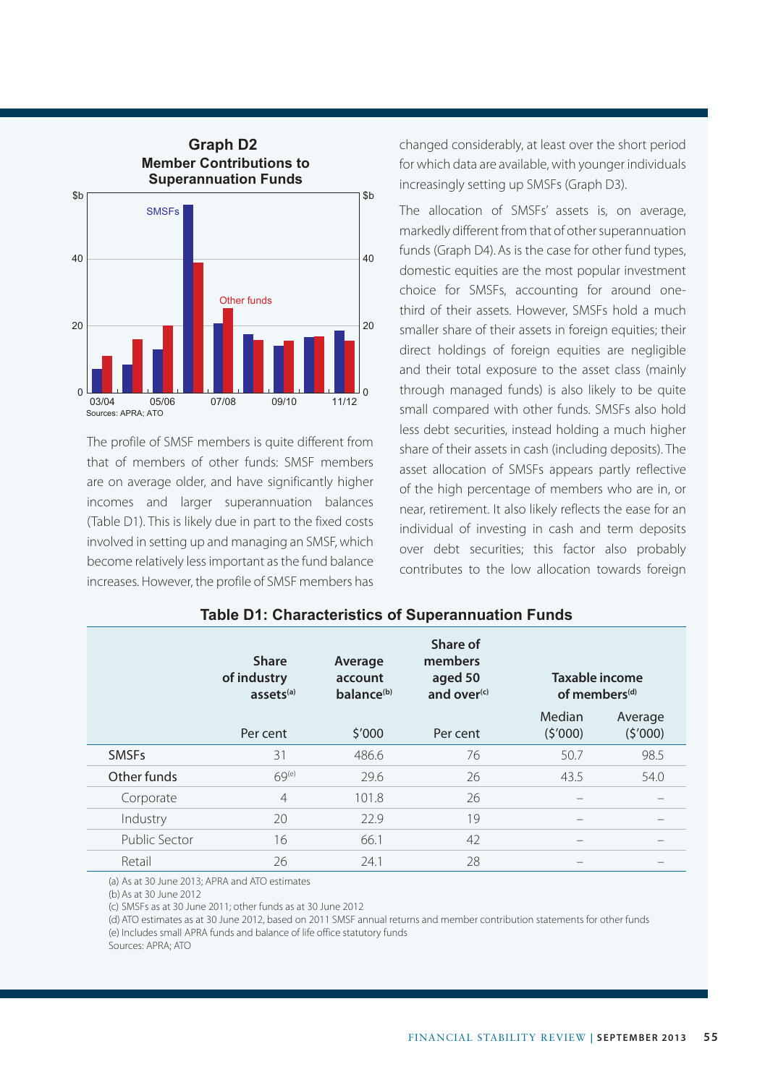

The profile of SMSF members is quite different from that of members of other funds: SMSF members are on average older, and have significantly higher incomes and larger superannuation balances (Table D1). This is likely due in part to the fixed costs involved in setting up and managing an SMSF, which become relatively less important as the fund balance increases. However, the profile of SMSF members has changed considerably, at least over the short period for which data are available, with younger individuals increasingly setting up SMSFs (Graph D3).

The allocation of SMSFs' assets is, on average, markedly different from that of other superannuation funds (Graph D4). As is the case for other fund types, domestic equities are the most popular investment choice for SMSFs, accounting for around onethird of their assets. However, SMSFs hold a much smaller share of their assets in foreign equities; their direct holdings of foreign equities are negligible and their total exposure to the asset class (mainly through managed funds) is also likely to be quite small compared with other funds. SMSFs also hold less debt securities, instead holding a much higher share of their assets in cash (including deposits). The asset allocation of SMSFs appears partly reflective of the high percentage of members who are in, or near, retirement. It also likely reflects the ease for an individual of investing in cash and term deposits over debt securities; this factor also probably contributes to the low allocation towards foreign

|               | <b>Share</b><br>of industry<br>assets $(a)$ | Average<br>account<br>balance <sup>(b)</sup> | Share of<br>members<br>aged 50<br>and over $(c)$ | Taxable income<br>of members <sup>(d)</sup> |                    |
|---------------|---------------------------------------------|----------------------------------------------|--------------------------------------------------|---------------------------------------------|--------------------|
|               | Per cent                                    | \$′000                                       | Per cent                                         | Median<br>(5'000)                           | Average<br>(5'000) |
| <b>SMSFs</b>  | 31                                          | 486.6                                        | 76                                               | 50.7                                        | 98.5               |
| Other funds   | 69 <sup>(e)</sup>                           | 29.6                                         | 26                                               | 43.5                                        | 54.0               |
| Corporate     | $\overline{4}$                              | 101.8                                        | 26                                               |                                             |                    |
| Industry      | 20                                          | 22.9                                         | 19                                               | -                                           |                    |
| Public Sector | 16                                          | 66.1                                         | 42                                               |                                             |                    |
| Retail        | 26                                          | 24.1                                         | 28                                               |                                             |                    |

## **Table D1: Characteristics of Superannuation Funds**

(a) As at 30 June 2013; APRA and ATO estimates

(b)As at 30 June 2012

(c) SMSFs as at 30 June 2011; other funds as at 30 June 2012

(d) ATO estimates as at 30 June 2012, based on 2011 SMSF annual returns and member contribution statements for other funds (e) Includes small APRA funds and balance of life office statutory funds

Sources: APRA; ATO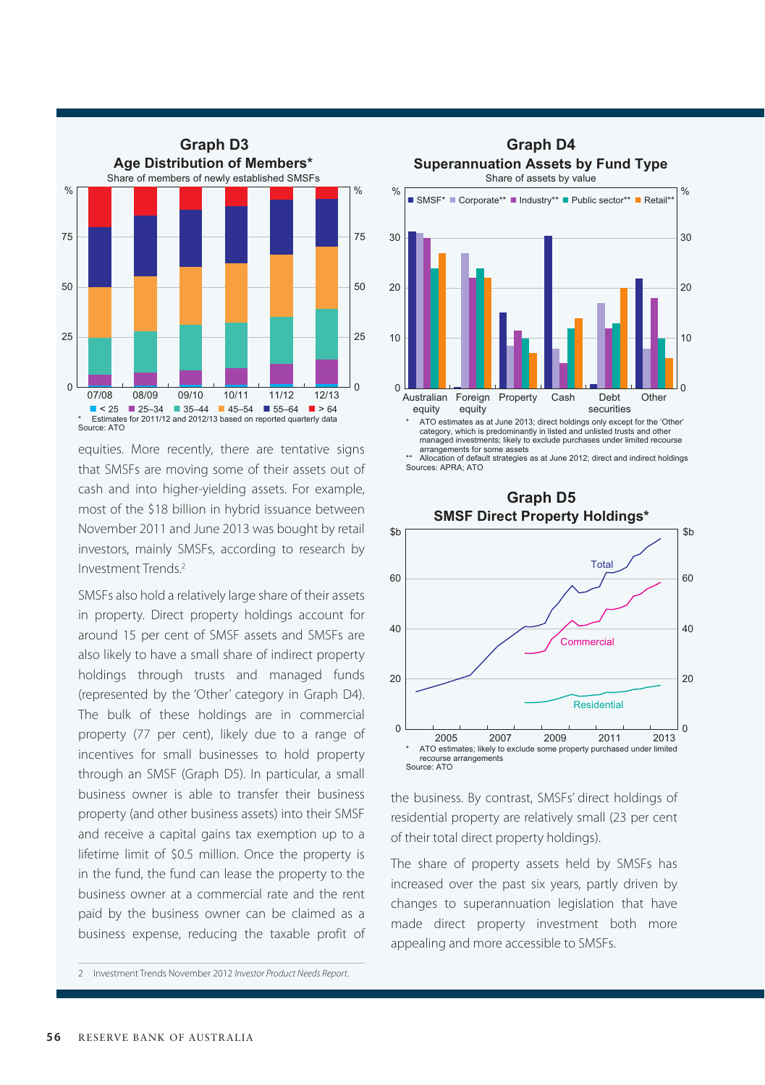

equities. More recently, there are tentative signs that SMSFs are moving some of their assets out of cash and into higher-yielding assets. For example, most of the \$18 billion in hybrid issuance between November 2011 and June 2013 was bought by retail investors, mainly SMSFs, according to research by Investment Trends.2

SMSFs also hold a relatively large share of their assets in property. Direct property holdings account for around 15 per cent of SMSF assets and SMSFs are also likely to have a small share of indirect property holdings through trusts and managed funds (represented by the 'Other' category in Graph D4). The bulk of these holdings are in commercial property (77 per cent), likely due to a range of incentives for small businesses to hold property through an SMSF (Graph D5). In particular, a small business owner is able to transfer their business property (and other business assets) into their SMSF and receive a capital gains tax exemption up to a lifetime limit of \$0.5 million. Once the property is in the fund, the fund can lease the property to the business owner at a commercial rate and the rent paid by the business owner can be claimed as a business expense, reducing the taxable profit of



Allocation of default strategies as at June 2012; direct and indirect holdings Sources: APRA; ATO



the business. By contrast, SMSFs' direct holdings of residential property are relatively small (23 per cent of their total direct property holdings).

The share of property assets held by SMSFs has increased over the past six years, partly driven by changes to superannuation legislation that have made direct property investment both more appealing and more accessible to SMSFs.

<sup>2</sup> Investment Trends November 2012 *Investor Product Needs Report*.